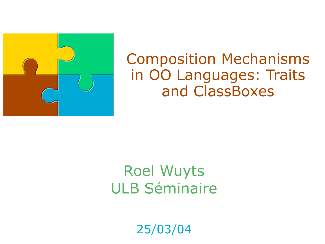

## Composition Mechanisms in OO Languages: Traits and ClassBoxes

# Roel Wuyts ULB Séminaire

25/03/04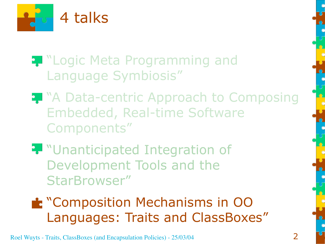

### **P** "Logic Meta Programming and Language Symbiosis"

- **E.** "A Data-centric Approach to Composing Embedded, Real-time Software Components"
- **P.** "Unanticipated Integration of Development Tools and the StarBrowser"
- "Composition Mechanisms in OO Languages: Traits and ClassBoxes"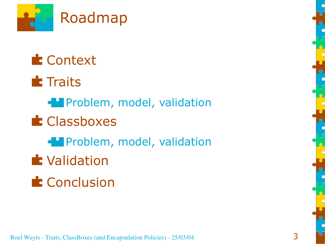

**E** Context

**E** Traits

**Problem, model, validation** 

**E** Classboxes

**Problem, model, validation** 

**k** Validation

## **E** Conclusion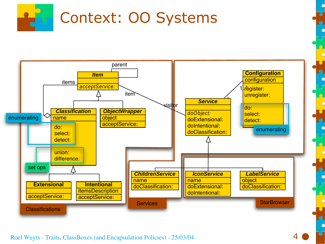



#### Roel Wuyts - Traits, ClassBoxes (and Encapsulation Policies) - 25/03/04 4

C

C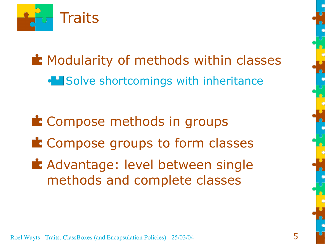

**E** Modularity of methods within classes **Solve shortcomings with inheritance** 

**E** Compose methods in groups

- **E** Compose groups to form classes
- **k** Advantage: level between single methods and complete classes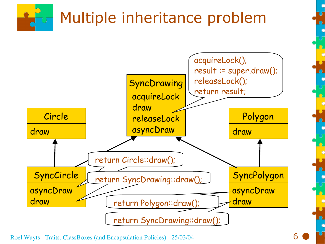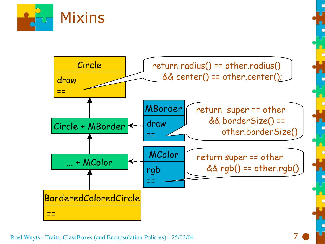

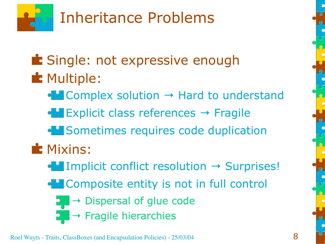

- **E** Single: not expressive enough
- **k** Multiple:
	- •■ Complex solution → Hard to understand
	- Explicit class references → Fragile
	- **Sometimes requires code duplication**
- **E** Mixins:
	- Implicit conflict resolution → Surprises!
	- **Composite entity is not in full control** 
		- $\mathbf{P} \rightarrow$  Dispersal of glue code 2 → Fragile hierarchies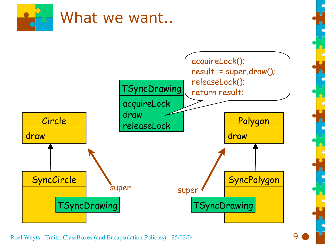

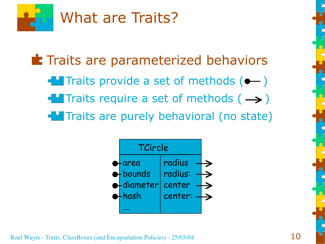

**E** Traits are parameterized behaviors  $\bullet$  Traits provide a set of methods  $(\bullet -)$  $\cdot$  Traits require a set of methods ( $\rightarrow$ ) **Traits are purely behavioral (no state)** 

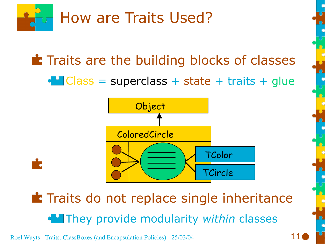

# **E** Traits are the building blocks of classes  $Class = superclass + state + traits + glue$



**E** Traits do not replace single inheritance **They provide modularity within classes**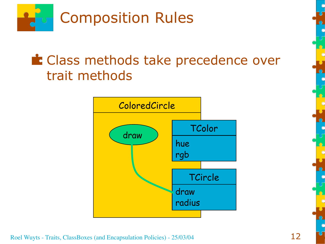

#### **E** Class methods take precedence over trait methods

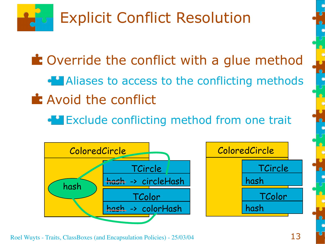

**E** Override the conflict with a glue method **Aliases to access to the conflicting methods E** Avoid the conflict

**Exclude conflicting method from one trait** 

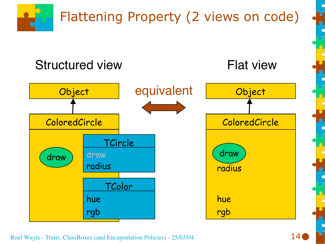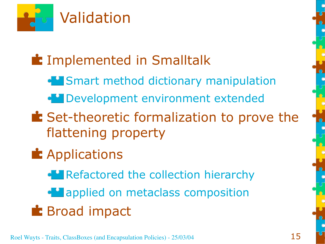

## **E** Implemented in Smalltalk

- **Smart method dictionary manipulation**
- Development environment extended
- **E** Set-theoretic formalization to prove the flattening property
- **k** Applications
	- **Refactored the collection hierarchy**
	- **all applied on metaclass composition**
- **E** Broad impact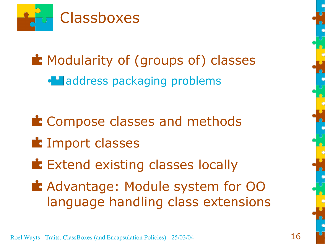

**E** Modularity of (groups of) classes **all address packaging problems** 

- **E** Compose classes and methods
- **E** Import classes
- **EXTERG** existing classes locally
- **E** Advantage: Module system for OO language handling class extensions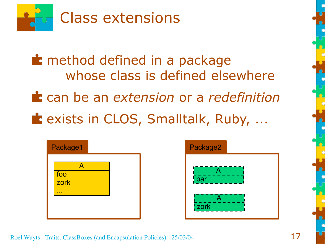

**k** method defined in a package whose class is defined elsewhere

can be an *extension* or a *redefinition*

**E** exists in CLOS, Smalltalk, Ruby, ...

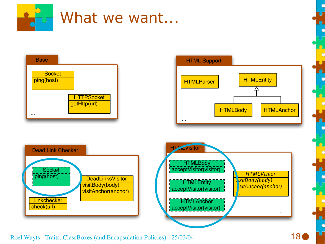



C ౮

0. C

C

n

C

∙  $\bullet$ 

 $\subset$ 

. C tΣ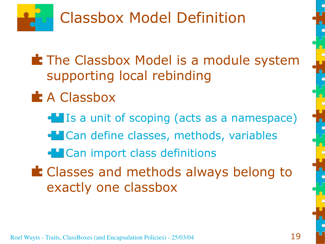

- **E** The Classbox Model is a module system supporting local rebinding
- **k** A Classbox
	- Is a unit of scoping (acts as a namespace)
	- **Can define classes, methods, variables**
	- **Can import class definitions**
- **E** Classes and methods always belong to exactly one classbox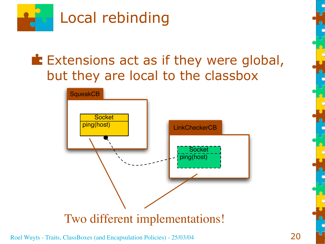

#### **EXTELLE EXTELLE ACT ACT ACT SET FILTER** EXTENSIONS act as if they were global, but they are local to the classbox

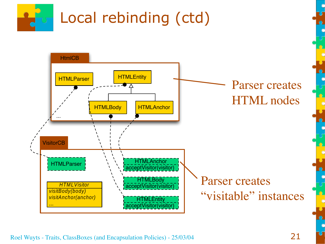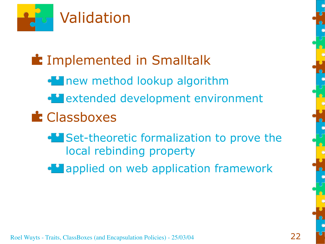

**E** Implemented in Smalltalk **• I new method lookup algorithm** extended development environment **E** Classboxes Set-theoretic formalization to prove the local rebinding property **all applied on web application framework**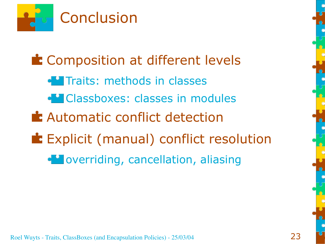

**E** Composition at different levels **Traits: methods in classes Classboxes: classes in modules k** Automatic conflict detection **EXPLICIT (manual) conflict resolution •** overriding, cancellation, aliasing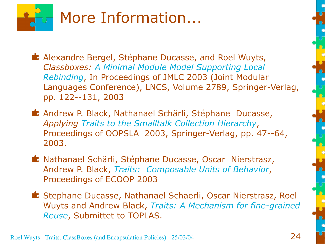

- **E** Alexandre Bergel, Stéphane Ducasse, and Roel Wuyts, *Classboxes: A Minimal Module Model Supporting Local Rebinding*, In Proceedings of JMLC 2003 (Joint Modular Languages Conference), LNCS, Volume 2789, Springer-Verlag, pp. 122--131, 2003
- **E** Andrew P. Black, Nathanael Schärli, Stéphane Ducasse, *Applying Traits to the Smalltalk Collection Hierarchy*, Proceedings of OOPSLA 2003, Springer-Verlag, pp. 47--64, 2003.
- **\*** Nathanael Schärli, Stéphane Ducasse, Oscar Nierstrasz, Andrew P. Black, *Traits: Composable Units of Behavior*, Proceedings of ECOOP 2003
- **E** Stephane Ducasse, Nathanael Schaerli, Oscar Nierstrasz, Roel Wuyts and Andrew Black, *Traits: A Mechanism for fine-grained Reuse*, Submittet to TOPLAS.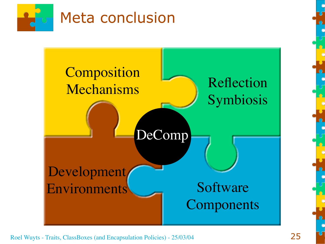

# Meta conclusion

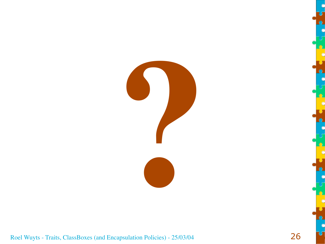

Roel Wuyts -

UΠ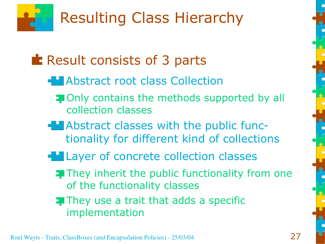

# **Result consists of 3 parts**

- **Abstract root class Collection** 
	- **POnly contains the methods supported by all** collection classes
- Abstract classes with the public functionality for different kind of collections
- **Layer of concrete collection classes** 
	- **They inherit the public functionality from one** of the functionality classes
	- **They use a trait that adds a specific** implementation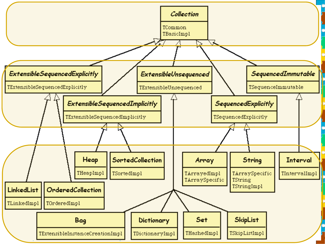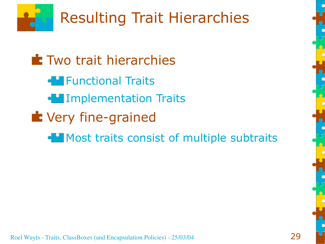

# Resulting Trait Hierarchies

**E** Two trait hierarchies **Functional Traits Implementation Traits E** Very fine-grained Most traits consist of multiple subtraits